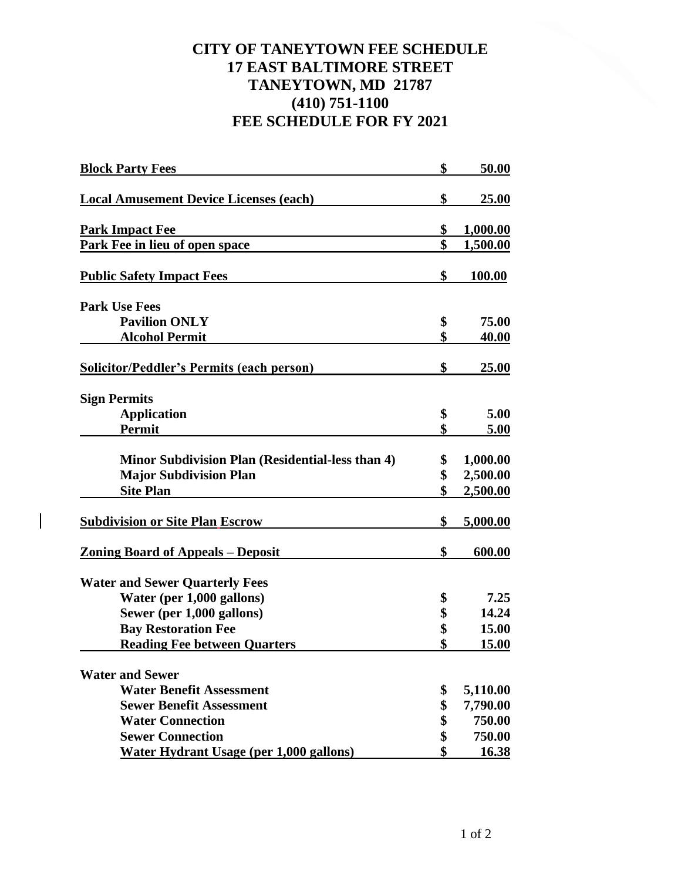## **CITY OF TANEYTOWN FEE SCHEDULE 17 EAST BALTIMORE STREET TANEYTOWN, MD 21787 (410) 751-1100 FEE SCHEDULE FOR FY 2021**

| <b>Block Party Fees</b>                                 | \$<br>50.00           |
|---------------------------------------------------------|-----------------------|
| <b>Local Amusement Device Licenses (each)</b>           | \$<br><u>25.00</u>    |
| <b>Park Impact Fee</b>                                  | \$<br><u>1,000.00</u> |
| Park Fee in lieu of open space                          | \$<br>1,500.00        |
| <b>Public Safety Impact Fees</b>                        | \$<br>100.00          |
| <b>Park Use Fees</b>                                    |                       |
| <b>Pavilion ONLY</b>                                    | \$<br>75.00           |
| <b>Alcohol Permit</b>                                   | \$<br>40.00           |
| <b>Solicitor/Peddler's Permits (each person)</b>        | \$<br>25.00           |
| <b>Sign Permits</b>                                     |                       |
| <b>Application</b>                                      | \$<br>5.00            |
| <b>Permit</b>                                           | \$<br>5.00            |
| <b>Minor Subdivision Plan (Residential-less than 4)</b> | \$<br>1,000.00        |
| <b>Major Subdivision Plan</b>                           | \$<br>2,500.00        |
| <b>Site Plan</b>                                        | \$<br>2,500.00        |
| <b>Subdivision or Site Plan Escrow</b>                  | \$<br>5,000.00        |
| <u> Zoning Board of Appeals – Deposit</u>               | \$<br>600.00          |
| <b>Water and Sewer Quarterly Fees</b>                   |                       |
| Water (per 1,000 gallons)                               | \$<br>7.25            |
| Sewer (per 1,000 gallons)                               | \$<br>14.24           |
| <b>Bay Restoration Fee</b>                              | \$<br>15.00           |
| <b>Reading Fee between Quarters</b>                     | \$<br>15.00           |
| <b>Water and Sewer</b>                                  |                       |
| <b>Water Benefit Assessment</b>                         | \$<br>5,110.00        |
| <b>Sewer Benefit Assessment</b>                         | \$<br>7,790.00        |
| <b>Water Connection</b>                                 | \$<br>750.00          |
| <b>Sewer Connection</b>                                 | \$<br>750.00          |
| <b>Water Hydrant Usage (per 1,000 gallons)</b>          | \$<br>16.38           |